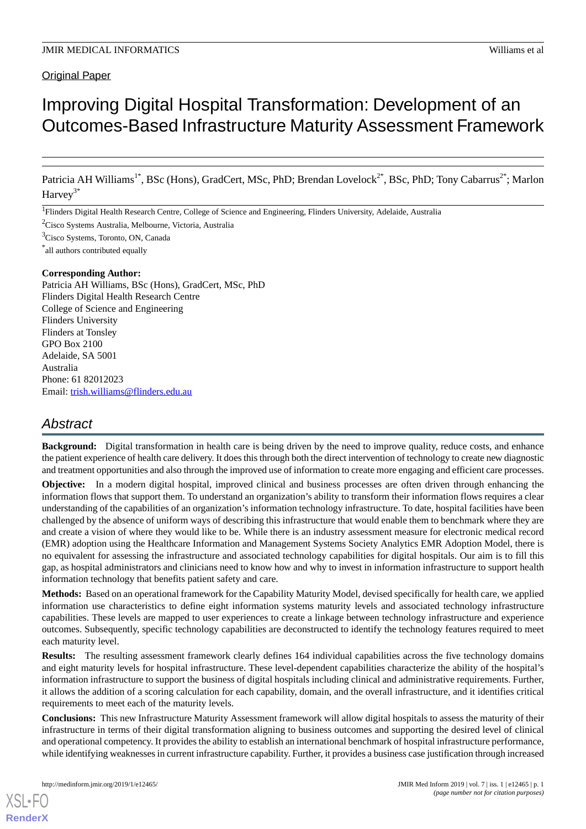# Improving Digital Hospital Transformation: Development of an Outcomes-Based Infrastructure Maturity Assessment Framework

Patricia AH Williams<sup>1\*</sup>, BSc (Hons), GradCert, MSc, PhD; Brendan Lovelock<sup>2\*</sup>, BSc, PhD; Tony Cabarrus<sup>2\*</sup>; Marlon Harvey 3\*

<sup>1</sup>Flinders Digital Health Research Centre, College of Science and Engineering, Flinders University, Adelaide, Australia

<sup>2</sup>Cisco Systems Australia, Melbourne, Victoria, Australia

<sup>3</sup>Cisco Systems, Toronto, ON, Canada

\* all authors contributed equally

## **Corresponding Author:**

Patricia AH Williams, BSc (Hons), GradCert, MSc, PhD Flinders Digital Health Research Centre College of Science and Engineering Flinders University Flinders at Tonsley GPO Box 2100 Adelaide, SA 5001 Australia Phone: 61 82012023 Email: [trish.williams@flinders.edu.au](mailto:trish.williams@flinders.edu.au)

# *Abstract*

**Background:** Digital transformation in health care is being driven by the need to improve quality, reduce costs, and enhance the patient experience of health care delivery. It does this through both the direct intervention of technology to create new diagnostic and treatment opportunities and also through the improved use of information to create more engaging and efficient care processes.

**Objective:** In a modern digital hospital, improved clinical and business processes are often driven through enhancing the information flows that support them. To understand an organization's ability to transform their information flows requires a clear understanding of the capabilities of an organization's information technology infrastructure. To date, hospital facilities have been challenged by the absence of uniform ways of describing this infrastructure that would enable them to benchmark where they are and create a vision of where they would like to be. While there is an industry assessment measure for electronic medical record (EMR) adoption using the Healthcare Information and Management Systems Society Analytics EMR Adoption Model, there is no equivalent for assessing the infrastructure and associated technology capabilities for digital hospitals. Our aim is to fill this gap, as hospital administrators and clinicians need to know how and why to invest in information infrastructure to support health information technology that benefits patient safety and care.

**Methods:** Based on an operational framework for the Capability Maturity Model, devised specifically for health care, we applied information use characteristics to define eight information systems maturity levels and associated technology infrastructure capabilities. These levels are mapped to user experiences to create a linkage between technology infrastructure and experience outcomes. Subsequently, specific technology capabilities are deconstructed to identify the technology features required to meet each maturity level.

**Results:** The resulting assessment framework clearly defines 164 individual capabilities across the five technology domains and eight maturity levels for hospital infrastructure. These level-dependent capabilities characterize the ability of the hospital's information infrastructure to support the business of digital hospitals including clinical and administrative requirements. Further, it allows the addition of a scoring calculation for each capability, domain, and the overall infrastructure, and it identifies critical requirements to meet each of the maturity levels.

**Conclusions:** This new Infrastructure Maturity Assessment framework will allow digital hospitals to assess the maturity of their infrastructure in terms of their digital transformation aligning to business outcomes and supporting the desired level of clinical and operational competency. It provides the ability to establish an international benchmark of hospital infrastructure performance, while identifying weaknesses in current infrastructure capability. Further, it provides a business case justification through increased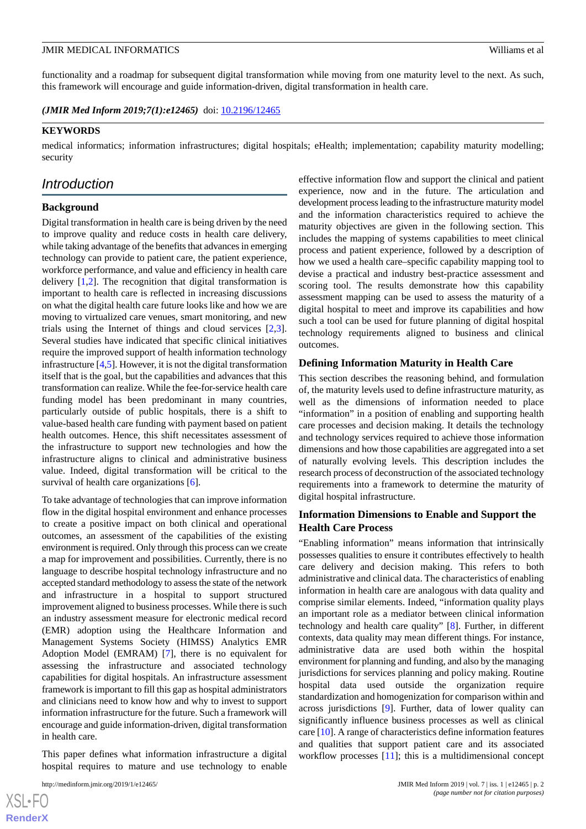functionality and a roadmap for subsequent digital transformation while moving from one maturity level to the next. As such, this framework will encourage and guide information-driven, digital transformation in health care.

*(JMIR Med Inform 2019;7(1):e12465)* doi:  $10.2196/12465$ 

#### **KEYWORDS**

medical informatics; information infrastructures; digital hospitals; eHealth; implementation; capability maturity modelling; security

# *Introduction*

## **Background**

Digital transformation in health care is being driven by the need to improve quality and reduce costs in health care delivery, while taking advantage of the benefits that advances in emerging technology can provide to patient care, the patient experience, workforce performance, and value and efficiency in health care delivery [\[1](#page-12-0),[2\]](#page-12-1). The recognition that digital transformation is important to health care is reflected in increasing discussions on what the digital health care future looks like and how we are moving to virtualized care venues, smart monitoring, and new trials using the Internet of things and cloud services [\[2](#page-12-1),[3\]](#page-12-2). Several studies have indicated that specific clinical initiatives require the improved support of health information technology infrastructure [\[4](#page-12-3),[5\]](#page-12-4). However, it is not the digital transformation itself that is the goal, but the capabilities and advances that this transformation can realize. While the fee-for-service health care funding model has been predominant in many countries, particularly outside of public hospitals, there is a shift to value-based health care funding with payment based on patient health outcomes. Hence, this shift necessitates assessment of the infrastructure to support new technologies and how the infrastructure aligns to clinical and administrative business value. Indeed, digital transformation will be critical to the survival of health care organizations [\[6](#page-12-5)].

To take advantage of technologies that can improve information flow in the digital hospital environment and enhance processes to create a positive impact on both clinical and operational outcomes, an assessment of the capabilities of the existing environment is required. Only through this process can we create a map for improvement and possibilities. Currently, there is no language to describe hospital technology infrastructure and no accepted standard methodology to assess the state of the network and infrastructure in a hospital to support structured improvement aligned to business processes. While there is such an industry assessment measure for electronic medical record (EMR) adoption using the Healthcare Information and Management Systems Society (HIMSS) Analytics EMR Adoption Model (EMRAM) [\[7](#page-12-6)], there is no equivalent for assessing the infrastructure and associated technology capabilities for digital hospitals. An infrastructure assessment framework is important to fill this gap as hospital administrators and clinicians need to know how and why to invest to support information infrastructure for the future. Such a framework will encourage and guide information-driven, digital transformation in health care.

This paper defines what information infrastructure a digital hospital requires to mature and use technology to enable

effective information flow and support the clinical and patient experience, now and in the future. The articulation and development process leading to the infrastructure maturity model and the information characteristics required to achieve the maturity objectives are given in the following section. This includes the mapping of systems capabilities to meet clinical process and patient experience, followed by a description of how we used a health care–specific capability mapping tool to devise a practical and industry best-practice assessment and scoring tool. The results demonstrate how this capability assessment mapping can be used to assess the maturity of a digital hospital to meet and improve its capabilities and how such a tool can be used for future planning of digital hospital technology requirements aligned to business and clinical outcomes.

#### **Defining Information Maturity in Health Care**

This section describes the reasoning behind, and formulation of, the maturity levels used to define infrastructure maturity, as well as the dimensions of information needed to place "information" in a position of enabling and supporting health care processes and decision making. It details the technology and technology services required to achieve those information dimensions and how those capabilities are aggregated into a set of naturally evolving levels. This description includes the research process of deconstruction of the associated technology requirements into a framework to determine the maturity of digital hospital infrastructure.

## **Information Dimensions to Enable and Support the Health Care Process**

"Enabling information" means information that intrinsically possesses qualities to ensure it contributes effectively to health care delivery and decision making. This refers to both administrative and clinical data. The characteristics of enabling information in health care are analogous with data quality and comprise similar elements. Indeed, "information quality plays an important role as a mediator between clinical information technology and health care quality" [\[8](#page-12-7)]. Further, in different contexts, data quality may mean different things. For instance, administrative data are used both within the hospital environment for planning and funding, and also by the managing jurisdictions for services planning and policy making. Routine hospital data used outside the organization require standardization and homogenization for comparison within and across jurisdictions [\[9](#page-12-8)]. Further, data of lower quality can significantly influence business processes as well as clinical care [[10\]](#page-12-9). A range of characteristics define information features and qualities that support patient care and its associated workflow processes [\[11](#page-13-0)]; this is a multidimensional concept

 $XS$ -FO **[RenderX](http://www.renderx.com/)**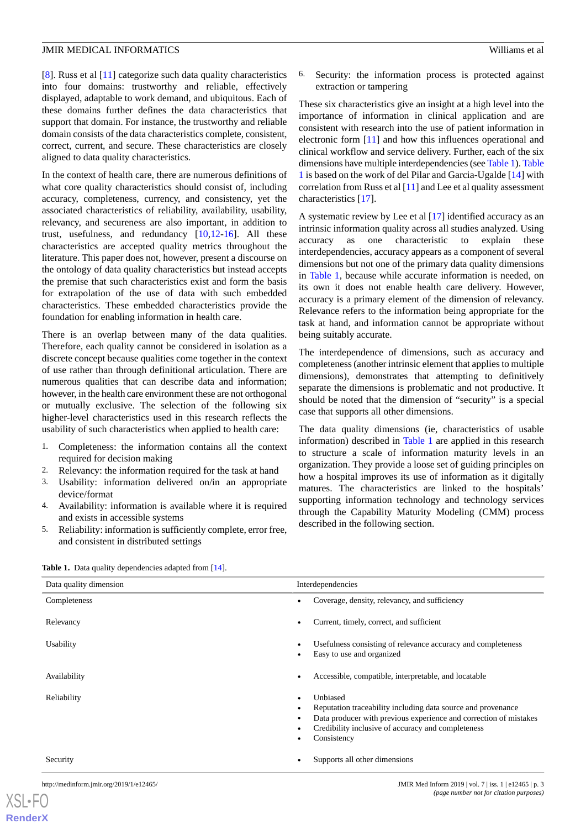[[8\]](#page-12-7). Russ et al [\[11](#page-13-0)] categorize such data quality characteristics into four domains: trustworthy and reliable, effectively displayed, adaptable to work demand, and ubiquitous. Each of these domains further defines the data characteristics that support that domain. For instance, the trustworthy and reliable domain consists of the data characteristics complete, consistent, correct, current, and secure. These characteristics are closely aligned to data quality characteristics.

In the context of health care, there are numerous definitions of what core quality characteristics should consist of, including accuracy, completeness, currency, and consistency, yet the associated characteristics of reliability, availability, usability, relevancy, and secureness are also important, in addition to trust, usefulness, and redundancy [[10,](#page-12-9)[12](#page-13-1)[-16](#page-13-2)]. All these characteristics are accepted quality metrics throughout the literature. This paper does not, however, present a discourse on the ontology of data quality characteristics but instead accepts the premise that such characteristics exist and form the basis for extrapolation of the use of data with such embedded characteristics. These embedded characteristics provide the foundation for enabling information in health care.

There is an overlap between many of the data qualities. Therefore, each quality cannot be considered in isolation as a discrete concept because qualities come together in the context of use rather than through definitional articulation. There are numerous qualities that can describe data and information; however, in the health care environment these are not orthogonal or mutually exclusive. The selection of the following six higher-level characteristics used in this research reflects the usability of such characteristics when applied to health care:

- 1. Completeness: the information contains all the context required for decision making
- 2. Relevancy: the information required for the task at hand<br>3. Usability: information delivered on/in an appropria
- Usability: information delivered on/in an appropriate device/format
- <span id="page-2-0"></span>4. Availability: information is available where it is required and exists in accessible systems
- 5. Reliability: information is sufficiently complete, error free, and consistent in distributed settings

6. Security: the information process is protected against extraction or tampering

These six characteristics give an insight at a high level into the importance of information in clinical application and are consistent with research into the use of patient information in electronic form [[11\]](#page-13-0) and how this influences operational and clinical workflow and service delivery. Further, each of the six dimensions have multiple interdependencies (see [Table 1\)](#page-2-0). [Table](#page-2-0) [1](#page-2-0) is based on the work of del Pilar and Garcia-Ugalde [[14\]](#page-13-3) with correlation from Russ et al [[11](#page-13-0)] and Lee et al quality assessment characteristics [[17\]](#page-13-4).

A systematic review by Lee et al [[17\]](#page-13-4) identified accuracy as an intrinsic information quality across all studies analyzed. Using accuracy as one characteristic to explain these interdependencies, accuracy appears as a component of several dimensions but not one of the primary data quality dimensions in [Table 1](#page-2-0), because while accurate information is needed, on its own it does not enable health care delivery. However, accuracy is a primary element of the dimension of relevancy. Relevance refers to the information being appropriate for the task at hand, and information cannot be appropriate without being suitably accurate.

The interdependence of dimensions, such as accuracy and completeness (another intrinsic element that applies to multiple dimensions), demonstrates that attempting to definitively separate the dimensions is problematic and not productive. It should be noted that the dimension of "security" is a special case that supports all other dimensions.

The data quality dimensions (ie, characteristics of usable information) described in [Table 1](#page-2-0) are applied in this research to structure a scale of information maturity levels in an organization. They provide a loose set of guiding principles on how a hospital improves its use of information as it digitally matures. The characteristics are linked to the hospitals' supporting information technology and technology services through the Capability Maturity Modeling (CMM) process described in the following section.

| Data quality dimension | Interdependencies                                                                                                                                                                                                  |
|------------------------|--------------------------------------------------------------------------------------------------------------------------------------------------------------------------------------------------------------------|
| Completeness           | Coverage, density, relevancy, and sufficiency                                                                                                                                                                      |
| Relevancy              | Current, timely, correct, and sufficient                                                                                                                                                                           |
| Usability              | Usefulness consisting of relevance accuracy and completeness<br>Easy to use and organized                                                                                                                          |
| Availability           | Accessible, compatible, interpretable, and locatable                                                                                                                                                               |
| Reliability            | Unbiased<br>Reputation traceability including data source and provenance<br>Data producer with previous experience and correction of mistakes<br>Credibility inclusive of accuracy and completeness<br>Consistency |
| Security               | Supports all other dimensions                                                                                                                                                                                      |

Table 1. Data quality dependencies adapted from [\[14\]](#page-13-3).

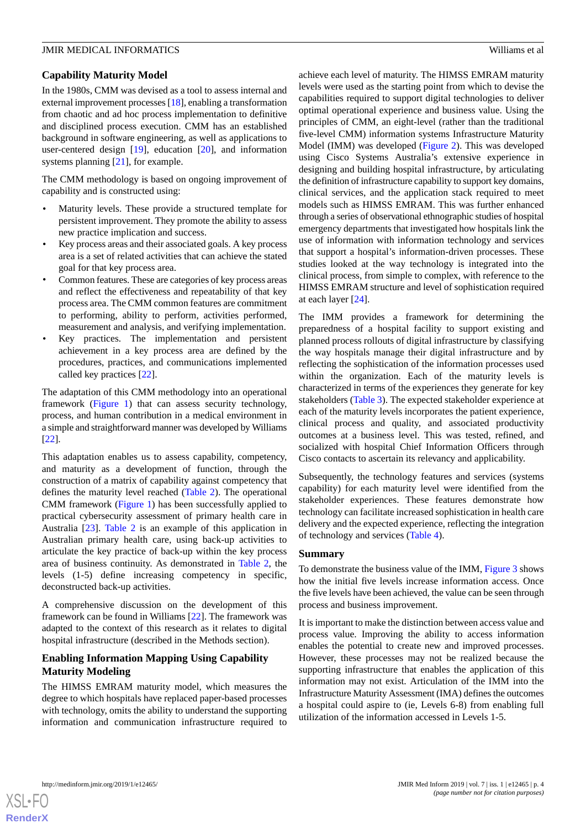## **Capability Maturity Model**

In the 1980s, CMM was devised as a tool to assess internal and external improvement processes [[18\]](#page-13-5), enabling a transformation from chaotic and ad hoc process implementation to definitive and disciplined process execution. CMM has an established background in software engineering, as well as applications to user-centered design [[19\]](#page-13-6), education [[20\]](#page-13-7), and information systems planning [[21\]](#page-13-8), for example.

The CMM methodology is based on ongoing improvement of capability and is constructed using:

- Maturity levels. These provide a structured template for persistent improvement. They promote the ability to assess new practice implication and success.
- Key process areas and their associated goals. A key process area is a set of related activities that can achieve the stated goal for that key process area.
- Common features. These are categories of key process areas and reflect the effectiveness and repeatability of that key process area. The CMM common features are commitment to performing, ability to perform, activities performed, measurement and analysis, and verifying implementation.
- Key practices. The implementation and persistent achievement in a key process area are defined by the procedures, practices, and communications implemented called key practices [[22\]](#page-13-9).

The adaptation of this CMM methodology into an operational framework ([Figure 1\)](#page-4-0) that can assess security technology, process, and human contribution in a medical environment in a simple and straightforward manner was developed by Williams [[22\]](#page-13-9).

This adaptation enables us to assess capability, competency, and maturity as a development of function, through the construction of a matrix of capability against competency that defines the maturity level reached ([Table 2](#page-4-1)). The operational CMM framework [\(Figure 1](#page-4-0)) has been successfully applied to practical cybersecurity assessment of primary health care in Australia [[23\]](#page-13-10). [Table 2](#page-4-1) is an example of this application in Australian primary health care, using back-up activities to articulate the key practice of back-up within the key process area of business continuity. As demonstrated in [Table 2](#page-4-1), the levels (1-5) define increasing competency in specific, deconstructed back-up activities.

A comprehensive discussion on the development of this framework can be found in Williams [\[22](#page-13-9)]. The framework was adapted to the context of this research as it relates to digital hospital infrastructure (described in the Methods section).

## **Enabling Information Mapping Using Capability Maturity Modeling**

The HIMSS EMRAM maturity model, which measures the degree to which hospitals have replaced paper-based processes with technology, omits the ability to understand the supporting information and communication infrastructure required to

achieve each level of maturity. The HIMSS EMRAM maturity levels were used as the starting point from which to devise the capabilities required to support digital technologies to deliver optimal operational experience and business value. Using the principles of CMM, an eight-level (rather than the traditional five-level CMM) information systems Infrastructure Maturity Model (IMM) was developed [\(Figure 2\)](#page-5-0). This was developed using Cisco Systems Australia's extensive experience in designing and building hospital infrastructure, by articulating the definition of infrastructure capability to support key domains, clinical services, and the application stack required to meet models such as HIMSS EMRAM. This was further enhanced through a series of observational ethnographic studies of hospital emergency departments that investigated how hospitals link the use of information with information technology and services that support a hospital's information-driven processes. These studies looked at the way technology is integrated into the clinical process, from simple to complex, with reference to the HIMSS EMRAM structure and level of sophistication required at each layer [[24\]](#page-13-11).

The IMM provides a framework for determining the preparedness of a hospital facility to support existing and planned process rollouts of digital infrastructure by classifying the way hospitals manage their digital infrastructure and by reflecting the sophistication of the information processes used within the organization. Each of the maturity levels is characterized in terms of the experiences they generate for key stakeholders [\(Table 3](#page-5-1)). The expected stakeholder experience at each of the maturity levels incorporates the patient experience, clinical process and quality, and associated productivity outcomes at a business level. This was tested, refined, and socialized with hospital Chief Information Officers through Cisco contacts to ascertain its relevancy and applicability.

Subsequently, the technology features and services (systems capability) for each maturity level were identified from the stakeholder experiences. These features demonstrate how technology can facilitate increased sophistication in health care delivery and the expected experience, reflecting the integration of technology and services [\(Table 4\)](#page-6-0).

## **Summary**

To demonstrate the business value of the IMM, [Figure 3](#page-7-0) shows how the initial five levels increase information access. Once the five levels have been achieved, the value can be seen through process and business improvement.

It is important to make the distinction between access value and process value. Improving the ability to access information enables the potential to create new and improved processes. However, these processes may not be realized because the supporting infrastructure that enables the application of this information may not exist. Articulation of the IMM into the Infrastructure Maturity Assessment (IMA) defines the outcomes a hospital could aspire to (ie, Levels 6-8) from enabling full utilization of the information accessed in Levels 1-5.

 $XS$ -FO **[RenderX](http://www.renderx.com/)**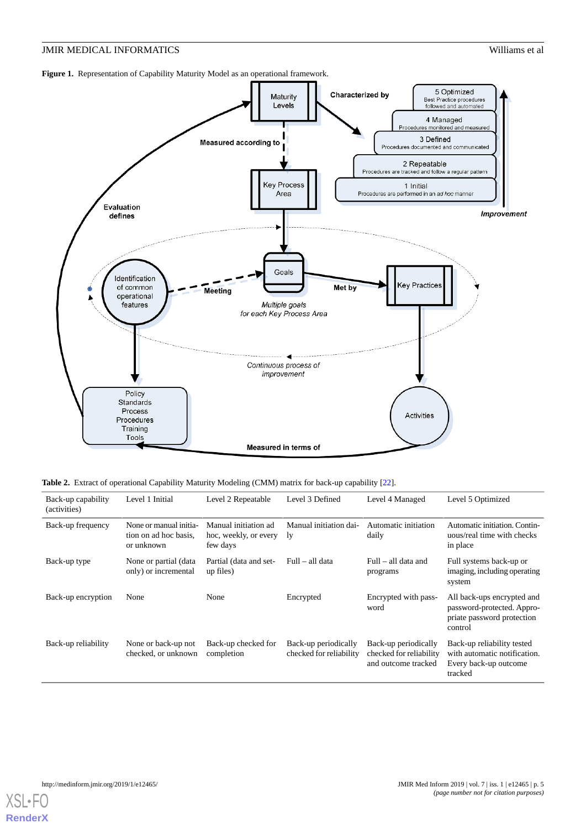<span id="page-4-0"></span>**Figure 1.** Representation of Capability Maturity Model as an operational framework.



<span id="page-4-1"></span>

| Table 2. Extract of operational Capability Maturity Modeling (CMM) matrix for back-up capability [22]. |
|--------------------------------------------------------------------------------------------------------|
|--------------------------------------------------------------------------------------------------------|

| Back-up capability<br>(activities) | Level 1 Initial                                               | Level 2 Repeatable                                        | Level 3 Defined                                 | Level 4 Managed                                                        | Level 5 Optimized                                                                                 |
|------------------------------------|---------------------------------------------------------------|-----------------------------------------------------------|-------------------------------------------------|------------------------------------------------------------------------|---------------------------------------------------------------------------------------------------|
| Back-up frequency                  | None or manual initia-<br>tion on ad hoc basis.<br>or unknown | Manual initiation ad<br>hoc, weekly, or every<br>few days | Manual initiation dai-<br>1v                    | Automatic initiation<br>daily                                          | Automatic initiation. Contin-<br>uous/real time with checks<br>in place                           |
| Back-up type                       | None or partial (data<br>only) or incremental                 | Partial (data and set-<br>up files)                       | Full – all data                                 | Full – all data and<br>programs                                        | Full systems back-up or<br>imaging, including operating<br>system                                 |
| Back-up encryption                 | None                                                          | None                                                      | Encrypted                                       | Encrypted with pass-<br>word                                           | All back-ups encrypted and<br>password-protected. Appro-<br>priate password protection<br>control |
| Back-up reliability                | None or back-up not<br>checked, or unknown                    | Back-up checked for<br>completion                         | Back-up periodically<br>checked for reliability | Back-up periodically<br>checked for reliability<br>and outcome tracked | Back-up reliability tested<br>with automatic notification.<br>Every back-up outcome<br>tracked    |

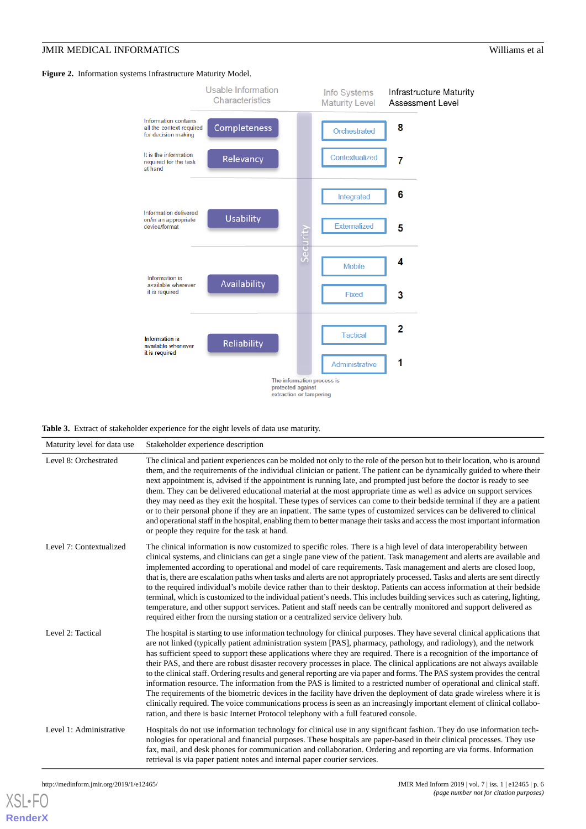#### <span id="page-5-0"></span>**Figure 2.** Information systems Infrastructure Maturity Model.



#### <span id="page-5-1"></span>**Table 3.** Extract of stakeholder experience for the eight levels of data use maturity.

| Maturity level for data use | Stakeholder experience description                                                                                                                                                                                                                                                                                                                                                                                                                                                                                                                                                                                                                                                                                                                                                                                                                                                                                                                                                                                                                                                                              |
|-----------------------------|-----------------------------------------------------------------------------------------------------------------------------------------------------------------------------------------------------------------------------------------------------------------------------------------------------------------------------------------------------------------------------------------------------------------------------------------------------------------------------------------------------------------------------------------------------------------------------------------------------------------------------------------------------------------------------------------------------------------------------------------------------------------------------------------------------------------------------------------------------------------------------------------------------------------------------------------------------------------------------------------------------------------------------------------------------------------------------------------------------------------|
| Level 8: Orchestrated       | The clinical and patient experiences can be molded not only to the role of the person but to their location, who is around<br>them, and the requirements of the individual clinician or patient. The patient can be dynamically guided to where their<br>next appointment is, advised if the appointment is running late, and prompted just before the doctor is ready to see<br>them. They can be delivered educational material at the most appropriate time as well as advice on support services<br>they may need as they exit the hospital. These types of services can come to their bedside terminal if they are a patient<br>or to their personal phone if they are an inpatient. The same types of customized services can be delivered to clinical<br>and operational staff in the hospital, enabling them to better manage their tasks and access the most important information<br>or people they require for the task at hand.                                                                                                                                                                     |
| Level 7: Contextualized     | The clinical information is now customized to specific roles. There is a high level of data interoperability between<br>clinical systems, and clinicians can get a single pane view of the patient. Task management and alerts are available and<br>implemented according to operational and model of care requirements. Task management and alerts are closed loop,<br>that is, there are escalation paths when tasks and alerts are not appropriately processed. Tasks and alerts are sent directly<br>to the required individual's mobile device rather than to their desktop. Patients can access information at their bedside<br>terminal, which is customized to the individual patient's needs. This includes building services such as catering, lighting,<br>temperature, and other support services. Patient and staff needs can be centrally monitored and support delivered as<br>required either from the nursing station or a centralized service delivery hub.                                                                                                                                   |
| Level 2: Tactical           | The hospital is starting to use information technology for clinical purposes. They have several clinical applications that<br>are not linked (typically patient administration system [PAS], pharmacy, pathology, and radiology), and the network<br>has sufficient speed to support these applications where they are required. There is a recognition of the importance of<br>their PAS, and there are robust disaster recovery processes in place. The clinical applications are not always available<br>to the clinical staff. Ordering results and general reporting are via paper and forms. The PAS system provides the central<br>information resource. The information from the PAS is limited to a restricted number of operational and clinical staff.<br>The requirements of the biometric devices in the facility have driven the deployment of data grade wireless where it is<br>clinically required. The voice communications process is seen as an increasingly important element of clinical collabo-<br>ration, and there is basic Internet Protocol telephony with a full featured console. |
| Level 1: Administrative     | Hospitals do not use information technology for clinical use in any significant fashion. They do use information tech-<br>nologies for operational and financial purposes. These hospitals are paper-based in their clinical processes. They use<br>fax, mail, and desk phones for communication and collaboration. Ordering and reporting are via forms. Information<br>retrieval is via paper patient notes and internal paper courier services.                                                                                                                                                                                                                                                                                                                                                                                                                                                                                                                                                                                                                                                              |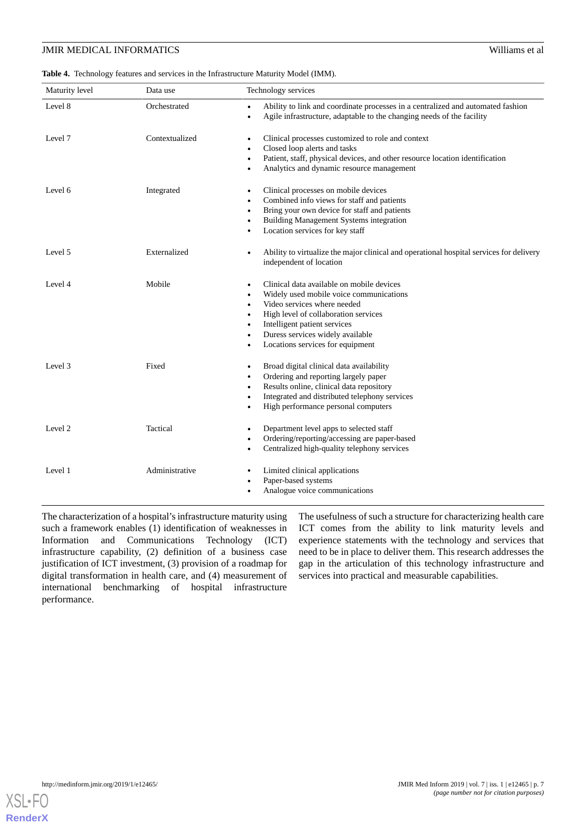<span id="page-6-0"></span>**Table 4.** Technology features and services in the Infrastructure Maturity Model (IMM).

| Maturity level | Data use       | Technology services                                                                                                                                                                                                                                                                                                          |
|----------------|----------------|------------------------------------------------------------------------------------------------------------------------------------------------------------------------------------------------------------------------------------------------------------------------------------------------------------------------------|
| Level 8        | Orchestrated   | Ability to link and coordinate processes in a centralized and automated fashion<br>$\bullet$<br>Agile infrastructure, adaptable to the changing needs of the facility<br>$\bullet$                                                                                                                                           |
| Level 7        | Contextualized | Clinical processes customized to role and context<br>$\bullet$<br>Closed loop alerts and tasks<br>٠<br>Patient, staff, physical devices, and other resource location identification<br>$\bullet$<br>Analytics and dynamic resource management<br>$\bullet$                                                                   |
| Level 6        | Integrated     | Clinical processes on mobile devices<br>Combined info views for staff and patients<br>Bring your own device for staff and patients<br>$\bullet$<br><b>Building Management Systems integration</b><br>Location services for key staff                                                                                         |
| Level 5        | Externalized   | Ability to virtualize the major clinical and operational hospital services for delivery<br>٠<br>independent of location                                                                                                                                                                                                      |
| Level 4        | Mobile         | Clinical data available on mobile devices<br>$\bullet$<br>Widely used mobile voice communications<br>٠<br>Video services where needed<br>High level of collaboration services<br>$\bullet$<br>Intelligent patient services<br>$\bullet$<br>Duress services widely available<br>$\bullet$<br>Locations services for equipment |
| Level 3        | Fixed          | Broad digital clinical data availability<br>Ordering and reporting largely paper<br>Results online, clinical data repository<br>٠<br>Integrated and distributed telephony services<br>$\bullet$<br>High performance personal computers<br>$\bullet$                                                                          |
| Level 2        | Tactical       | Department level apps to selected staff<br>Ordering/reporting/accessing are paper-based<br>Centralized high-quality telephony services<br>٠                                                                                                                                                                                  |
| Level 1        | Administrative | Limited clinical applications<br>٠<br>Paper-based systems<br>Analogue voice communications                                                                                                                                                                                                                                   |

The characterization of a hospital's infrastructure maturity using such a framework enables (1) identification of weaknesses in Information and Communications Technology (ICT) infrastructure capability, (2) definition of a business case justification of ICT investment, (3) provision of a roadmap for digital transformation in health care, and (4) measurement of international benchmarking of hospital infrastructure performance.

The usefulness of such a structure for characterizing health care ICT comes from the ability to link maturity levels and experience statements with the technology and services that need to be in place to deliver them. This research addresses the gap in the articulation of this technology infrastructure and services into practical and measurable capabilities.

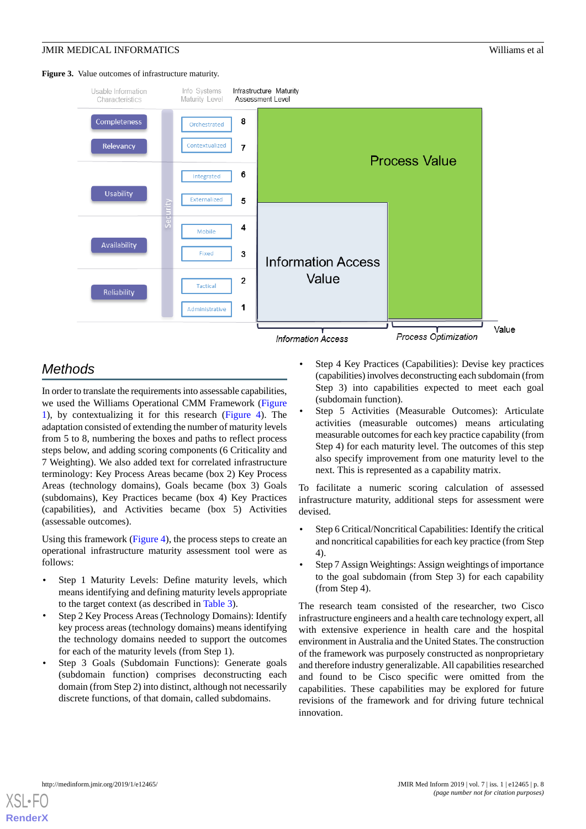#### <span id="page-7-0"></span>**Figure 3.** Value outcomes of infrastructure maturity.



# *Methods*

In order to translate the requirements into assessable capabilities, we used the Williams Operational CMM Framework ([Figure](#page-4-0) [1\)](#page-4-0), by contextualizing it for this research ([Figure 4](#page-8-0)). The adaptation consisted of extending the number of maturity levels from 5 to 8, numbering the boxes and paths to reflect process steps below, and adding scoring components (6 Criticality and 7 Weighting). We also added text for correlated infrastructure terminology: Key Process Areas became (box 2) Key Process Areas (technology domains), Goals became (box 3) Goals (subdomains), Key Practices became (box 4) Key Practices (capabilities), and Activities became (box 5) Activities (assessable outcomes).

Using this framework ([Figure 4](#page-8-0)), the process steps to create an operational infrastructure maturity assessment tool were as follows:

- Step 1 Maturity Levels: Define maturity levels, which means identifying and defining maturity levels appropriate to the target context (as described in [Table 3](#page-5-1)).
- Step 2 Key Process Areas (Technology Domains): Identify key process areas (technology domains) means identifying the technology domains needed to support the outcomes for each of the maturity levels (from Step 1).
- Step 3 Goals (Subdomain Functions): Generate goals (subdomain function) comprises deconstructing each domain (from Step 2) into distinct, although not necessarily discrete functions, of that domain, called subdomains.
- Step 4 Key Practices (Capabilities): Devise key practices (capabilities) involves deconstructing each subdomain (from Step 3) into capabilities expected to meet each goal (subdomain function).
- Step 5 Activities (Measurable Outcomes): Articulate activities (measurable outcomes) means articulating measurable outcomes for each key practice capability (from Step 4) for each maturity level. The outcomes of this step also specify improvement from one maturity level to the next. This is represented as a capability matrix.

To facilitate a numeric scoring calculation of assessed infrastructure maturity, additional steps for assessment were devised.

- Step 6 Critical/Noncritical Capabilities: Identify the critical and noncritical capabilities for each key practice (from Step 4).
- Step 7 Assign Weightings: Assign weightings of importance to the goal subdomain (from Step 3) for each capability (from Step 4).

The research team consisted of the researcher, two Cisco infrastructure engineers and a health care technology expert, all with extensive experience in health care and the hospital environment in Australia and the United States. The construction of the framework was purposely constructed as nonproprietary and therefore industry generalizable. All capabilities researched and found to be Cisco specific were omitted from the capabilities. These capabilities may be explored for future revisions of the framework and for driving future technical innovation.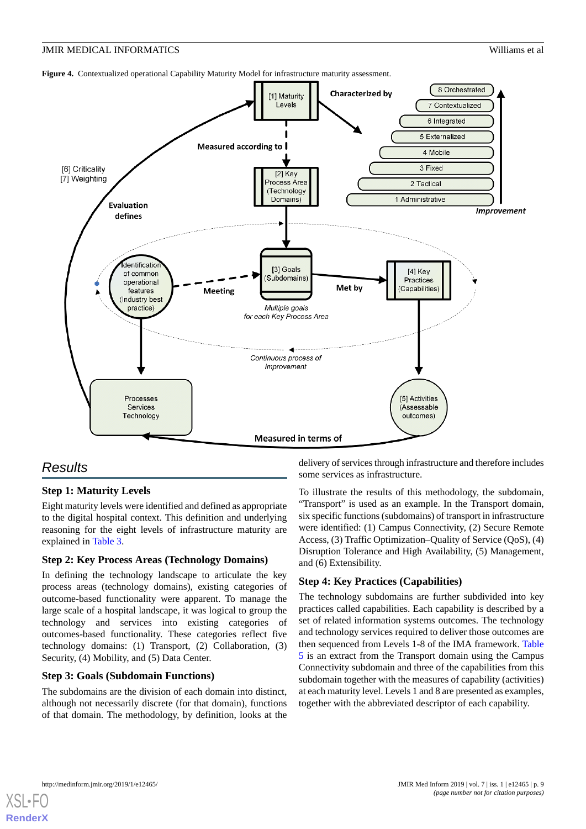<span id="page-8-0"></span>



# *Results*

## **Step 1: Maturity Levels**

Eight maturity levels were identified and defined as appropriate to the digital hospital context. This definition and underlying reasoning for the eight levels of infrastructure maturity are explained in [Table 3.](#page-5-1)

## **Step 2: Key Process Areas (Technology Domains)**

In defining the technology landscape to articulate the key process areas (technology domains), existing categories of outcome-based functionality were apparent. To manage the large scale of a hospital landscape, it was logical to group the technology and services into existing categories of outcomes-based functionality. These categories reflect five technology domains: (1) Transport, (2) Collaboration, (3) Security, (4) Mobility, and (5) Data Center.

## **Step 3: Goals (Subdomain Functions)**

The subdomains are the division of each domain into distinct, although not necessarily discrete (for that domain), functions of that domain. The methodology, by definition, looks at the

delivery of services through infrastructure and therefore includes some services as infrastructure.

To illustrate the results of this methodology, the subdomain, "Transport" is used as an example. In the Transport domain, six specific functions (subdomains) of transport in infrastructure were identified: (1) Campus Connectivity, (2) Secure Remote Access, (3) Traffic Optimization–Quality of Service (QoS), (4) Disruption Tolerance and High Availability, (5) Management, and (6) Extensibility.

# **Step 4: Key Practices (Capabilities)**

The technology subdomains are further subdivided into key practices called capabilities. Each capability is described by a set of related information systems outcomes. The technology and technology services required to deliver those outcomes are then sequenced from Levels 1-8 of the IMA framework. [Table](#page-9-0) [5](#page-9-0) is an extract from the Transport domain using the Campus Connectivity subdomain and three of the capabilities from this subdomain together with the measures of capability (activities) at each maturity level. Levels 1 and 8 are presented as examples, together with the abbreviated descriptor of each capability.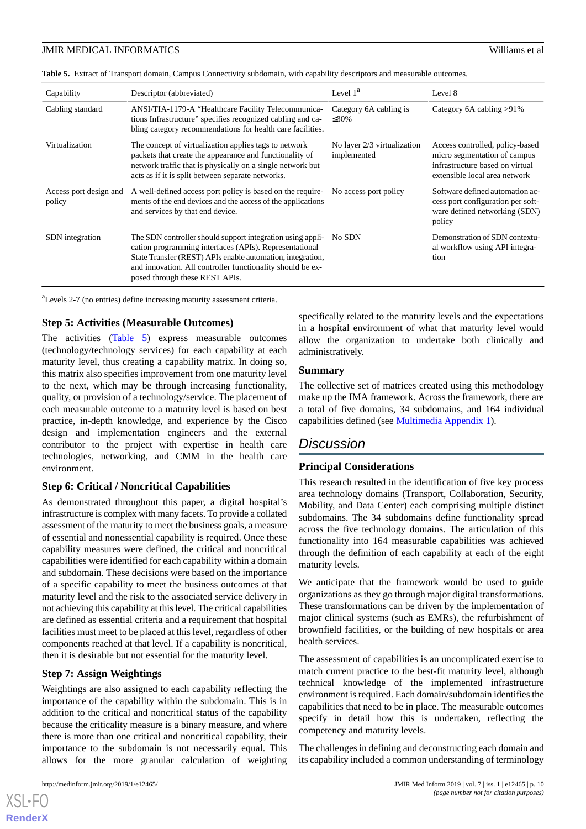<span id="page-9-0"></span>**Table 5.** Extract of Transport domain, Campus Connectivity subdomain, with capability descriptors and measurable outcomes.

| Capability                       | Descriptor (abbreviated)                                                                                                                                                                                                                                                           | Level $1a$                                 | Level 8                                                                                                                             |
|----------------------------------|------------------------------------------------------------------------------------------------------------------------------------------------------------------------------------------------------------------------------------------------------------------------------------|--------------------------------------------|-------------------------------------------------------------------------------------------------------------------------------------|
| Cabling standard                 | ANSI/TIA-1179-A "Healthcare Facility Telecommunica-<br>tions Infrastructure" specifies recognized cabling and ca-<br>bling category recommendations for health care facilities.                                                                                                    | Category 6A cabling is<br>$\leq 30\%$      | Category 6A cabling >91%                                                                                                            |
| Virtualization                   | The concept of virtualization applies tags to network<br>packets that create the appearance and functionality of<br>network traffic that is physically on a single network but<br>acts as if it is split between separate networks.                                                | No layer 2/3 virtualization<br>implemented | Access controlled, policy-based<br>micro segmentation of campus<br>infrastructure based on virtual<br>extensible local area network |
| Access port design and<br>policy | A well-defined access port policy is based on the require-<br>ments of the end devices and the access of the applications<br>and services by that end device.                                                                                                                      | No access port policy                      | Software defined automation ac-<br>cess port configuration per soft-<br>ware defined networking (SDN)<br>policy                     |
| SDN integration                  | The SDN controller should support integration using appli-<br>cation programming interfaces (APIs). Representational<br>State Transfer (REST) APIs enable automation, integration,<br>and innovation. All controller functionality should be ex-<br>posed through these REST APIs. | No SDN                                     | Demonstration of SDN contextu-<br>al workflow using API integra-<br>tion                                                            |

<sup>a</sup>Levels 2-7 (no entries) define increasing maturity assessment criteria.

#### **Step 5: Activities (Measurable Outcomes)**

The activities [\(Table 5](#page-9-0)) express measurable outcomes (technology/technology services) for each capability at each maturity level, thus creating a capability matrix. In doing so, this matrix also specifies improvement from one maturity level to the next, which may be through increasing functionality, quality, or provision of a technology/service. The placement of each measurable outcome to a maturity level is based on best practice, in-depth knowledge, and experience by the Cisco design and implementation engineers and the external contributor to the project with expertise in health care technologies, networking, and CMM in the health care environment.

## **Step 6: Critical / Noncritical Capabilities**

As demonstrated throughout this paper, a digital hospital's infrastructure is complex with many facets. To provide a collated assessment of the maturity to meet the business goals, a measure of essential and nonessential capability is required. Once these capability measures were defined, the critical and noncritical capabilities were identified for each capability within a domain and subdomain. These decisions were based on the importance of a specific capability to meet the business outcomes at that maturity level and the risk to the associated service delivery in not achieving this capability at this level. The critical capabilities are defined as essential criteria and a requirement that hospital facilities must meet to be placed at this level, regardless of other components reached at that level. If a capability is noncritical, then it is desirable but not essential for the maturity level.

## **Step 7: Assign Weightings**

Weightings are also assigned to each capability reflecting the importance of the capability within the subdomain. This is in addition to the critical and noncritical status of the capability because the criticality measure is a binary measure, and where there is more than one critical and noncritical capability, their importance to the subdomain is not necessarily equal. This allows for the more granular calculation of weighting

[XSL](http://www.w3.org/Style/XSL)•FO **[RenderX](http://www.renderx.com/)**

specifically related to the maturity levels and the expectations in a hospital environment of what that maturity level would allow the organization to undertake both clinically and administratively.

#### **Summary**

The collective set of matrices created using this methodology make up the IMA framework. Across the framework, there are a total of five domains, 34 subdomains, and 164 individual capabilities defined (see [Multimedia Appendix 1\)](#page-12-10).

# *Discussion*

## **Principal Considerations**

This research resulted in the identification of five key process area technology domains (Transport, Collaboration, Security, Mobility, and Data Center) each comprising multiple distinct subdomains. The 34 subdomains define functionality spread across the five technology domains. The articulation of this functionality into 164 measurable capabilities was achieved through the definition of each capability at each of the eight maturity levels.

We anticipate that the framework would be used to guide organizations as they go through major digital transformations. These transformations can be driven by the implementation of major clinical systems (such as EMRs), the refurbishment of brownfield facilities, or the building of new hospitals or area health services.

The assessment of capabilities is an uncomplicated exercise to match current practice to the best-fit maturity level, although technical knowledge of the implemented infrastructure environment is required. Each domain/subdomain identifies the capabilities that need to be in place. The measurable outcomes specify in detail how this is undertaken, reflecting the competency and maturity levels.

The challenges in defining and deconstructing each domain and its capability included a common understanding of terminology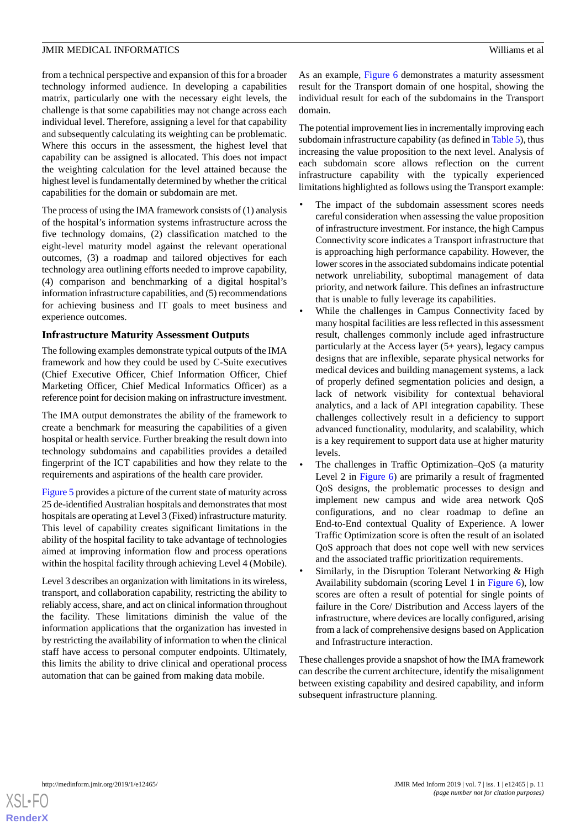from a technical perspective and expansion of this for a broader technology informed audience. In developing a capabilities matrix, particularly one with the necessary eight levels, the challenge is that some capabilities may not change across each individual level. Therefore, assigning a level for that capability and subsequently calculating its weighting can be problematic. Where this occurs in the assessment, the highest level that capability can be assigned is allocated. This does not impact the weighting calculation for the level attained because the highest level is fundamentally determined by whether the critical capabilities for the domain or subdomain are met.

The process of using the IMA framework consists of (1) analysis of the hospital's information systems infrastructure across the five technology domains, (2) classification matched to the eight-level maturity model against the relevant operational outcomes, (3) a roadmap and tailored objectives for each technology area outlining efforts needed to improve capability, (4) comparison and benchmarking of a digital hospital's information infrastructure capabilities, and (5) recommendations for achieving business and IT goals to meet business and experience outcomes.

## **Infrastructure Maturity Assessment Outputs**

The following examples demonstrate typical outputs of the IMA framework and how they could be used by C-Suite executives (Chief Executive Officer, Chief Information Officer, Chief Marketing Officer, Chief Medical Informatics Officer) as a reference point for decision making on infrastructure investment.

The IMA output demonstrates the ability of the framework to create a benchmark for measuring the capabilities of a given hospital or health service. Further breaking the result down into technology subdomains and capabilities provides a detailed fingerprint of the ICT capabilities and how they relate to the requirements and aspirations of the health care provider.

[Figure 5](#page-11-0) provides a picture of the current state of maturity across 25 de-identified Australian hospitals and demonstrates that most hospitals are operating at Level 3 (Fixed) infrastructure maturity. This level of capability creates significant limitations in the ability of the hospital facility to take advantage of technologies aimed at improving information flow and process operations within the hospital facility through achieving Level 4 (Mobile).

Level 3 describes an organization with limitations in its wireless, transport, and collaboration capability, restricting the ability to reliably access, share, and act on clinical information throughout the facility. These limitations diminish the value of the information applications that the organization has invested in by restricting the availability of information to when the clinical staff have access to personal computer endpoints. Ultimately, this limits the ability to drive clinical and operational process automation that can be gained from making data mobile.

As an example, [Figure 6](#page-11-1) demonstrates a maturity assessment result for the Transport domain of one hospital, showing the individual result for each of the subdomains in the Transport domain.

The potential improvement lies in incrementally improving each subdomain infrastructure capability (as defined in [Table 5](#page-9-0)), thus increasing the value proposition to the next level. Analysis of each subdomain score allows reflection on the current infrastructure capability with the typically experienced limitations highlighted as follows using the Transport example:

- The impact of the subdomain assessment scores needs careful consideration when assessing the value proposition of infrastructure investment. For instance, the high Campus Connectivity score indicates a Transport infrastructure that is approaching high performance capability. However, the lower scores in the associated subdomains indicate potential network unreliability, suboptimal management of data priority, and network failure. This defines an infrastructure that is unable to fully leverage its capabilities.
- While the challenges in Campus Connectivity faced by many hospital facilities are less reflected in this assessment result, challenges commonly include aged infrastructure particularly at the Access layer (5+ years), legacy campus designs that are inflexible, separate physical networks for medical devices and building management systems, a lack of properly defined segmentation policies and design, a lack of network visibility for contextual behavioral analytics, and a lack of API integration capability. These challenges collectively result in a deficiency to support advanced functionality, modularity, and scalability, which is a key requirement to support data use at higher maturity levels.
- The challenges in Traffic Optimization–QoS (a maturity Level 2 in [Figure 6\)](#page-11-1) are primarily a result of fragmented QoS designs, the problematic processes to design and implement new campus and wide area network QoS configurations, and no clear roadmap to define an End-to-End contextual Quality of Experience. A lower Traffic Optimization score is often the result of an isolated QoS approach that does not cope well with new services and the associated traffic prioritization requirements.
- Similarly, in the Disruption Tolerant Networking & High Availability subdomain (scoring Level 1 in [Figure 6](#page-11-1)), low scores are often a result of potential for single points of failure in the Core/ Distribution and Access layers of the infrastructure, where devices are locally configured, arising from a lack of comprehensive designs based on Application and Infrastructure interaction.

These challenges provide a snapshot of how the IMA framework can describe the current architecture, identify the misalignment between existing capability and desired capability, and inform subsequent infrastructure planning.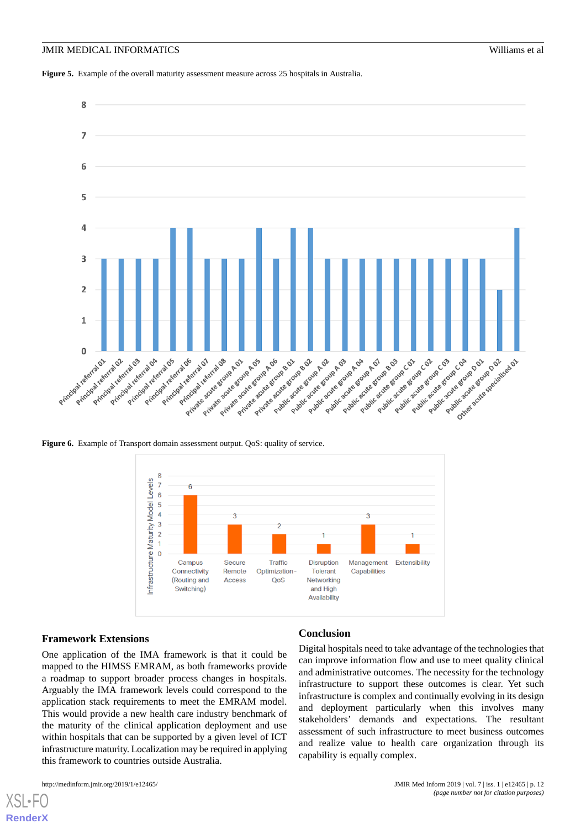<span id="page-11-0"></span>**Figure 5.** Example of the overall maturity assessment measure across 25 hospitals in Australia.



<span id="page-11-1"></span>**Figure 6.** Example of Transport domain assessment output. QoS: quality of service.



## **Framework Extensions**

#### **Conclusion**

capability is equally complex.

One application of the IMA framework is that it could be mapped to the HIMSS EMRAM, as both frameworks provide a roadmap to support broader process changes in hospitals. Arguably the IMA framework levels could correspond to the application stack requirements to meet the EMRAM model. This would provide a new health care industry benchmark of the maturity of the clinical application deployment and use within hospitals that can be supported by a given level of ICT infrastructure maturity. Localization may be required in applying this framework to countries outside Australia.

[XSL](http://www.w3.org/Style/XSL)•FO **[RenderX](http://www.renderx.com/)**

Digital hospitals need to take advantage of the technologies that can improve information flow and use to meet quality clinical and administrative outcomes. The necessity for the technology infrastructure to support these outcomes is clear. Yet such infrastructure is complex and continually evolving in its design and deployment particularly when this involves many stakeholders' demands and expectations. The resultant assessment of such infrastructure to meet business outcomes and realize value to health care organization through its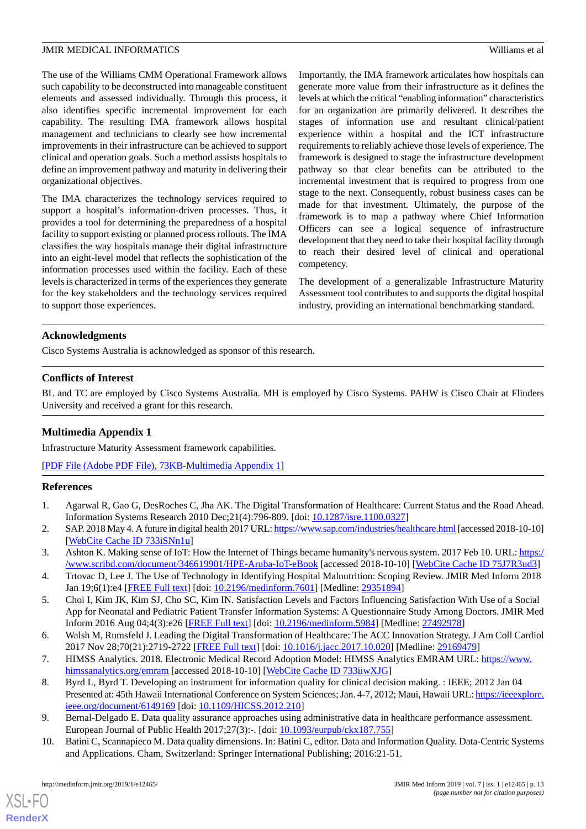The use of the Williams CMM Operational Framework allows such capability to be deconstructed into manageable constituent elements and assessed individually. Through this process, it also identifies specific incremental improvement for each capability. The resulting IMA framework allows hospital management and technicians to clearly see how incremental improvements in their infrastructure can be achieved to support clinical and operation goals. Such a method assists hospitals to define an improvement pathway and maturity in delivering their organizational objectives.

The IMA characterizes the technology services required to support a hospital's information-driven processes. Thus, it provides a tool for determining the preparedness of a hospital facility to support existing or planned process rollouts. The IMA classifies the way hospitals manage their digital infrastructure into an eight-level model that reflects the sophistication of the information processes used within the facility. Each of these levels is characterized in terms of the experiences they generate for the key stakeholders and the technology services required to support those experiences.

Importantly, the IMA framework articulates how hospitals can generate more value from their infrastructure as it defines the levels at which the critical "enabling information" characteristics for an organization are primarily delivered. It describes the stages of information use and resultant clinical/patient experience within a hospital and the ICT infrastructure requirements to reliably achieve those levels of experience. The framework is designed to stage the infrastructure development pathway so that clear benefits can be attributed to the incremental investment that is required to progress from one stage to the next. Consequently, robust business cases can be made for that investment. Ultimately, the purpose of the framework is to map a pathway where Chief Information Officers can see a logical sequence of infrastructure development that they need to take their hospital facility through to reach their desired level of clinical and operational competency.

The development of a generalizable Infrastructure Maturity Assessment tool contributes to and supports the digital hospital industry, providing an international benchmarking standard.

## **Acknowledgments**

Cisco Systems Australia is acknowledged as sponsor of this research.

## **Conflicts of Interest**

<span id="page-12-10"></span>BL and TC are employed by Cisco Systems Australia. MH is employed by Cisco Systems. PAHW is Cisco Chair at Flinders University and received a grant for this research.

## **Multimedia Appendix 1**

<span id="page-12-0"></span>Infrastructure Maturity Assessment framework capabilities.

<span id="page-12-1"></span>[[PDF File \(Adobe PDF File\), 73KB-Multimedia Appendix 1](https://jmir.org/api/download?alt_name=medinform_v7i1e12465_app1.pdf&filename=752bbe4c8a78637dcb52744bc4ab16cf.pdf)]

## **References**

- <span id="page-12-2"></span>1. Agarwal R, Gao G, DesRoches C, Jha AK. The Digital Transformation of Healthcare: Current Status and the Road Ahead. Information Systems Research 2010 Dec;21(4):796-809. [doi: [10.1287/isre.1100.0327](http://dx.doi.org/10.1287/isre.1100.0327)]
- <span id="page-12-4"></span><span id="page-12-3"></span>2. SAP. 2018 May 4. A future in digital health 2017 URL:<https://www.sap.com/industries/healthcare.html> [accessed 2018-10-10] [[WebCite Cache ID 733iSNn1u](http://www.webcitation.org/

                                733iSNn1u)]
- 3. Ashton K. Making sense of IoT: How the Internet of Things became humanity's nervous system. 2017 Feb 10. URL: [https:/](https://www.scribd.com/document/346619901/HPE-Aruba-IoT-eBook) [/www.scribd.com/document/346619901/HPE-Aruba-IoT-eBook](https://www.scribd.com/document/346619901/HPE-Aruba-IoT-eBook) [accessed 2018-10-10] [\[WebCite Cache ID 75J7R3ud3\]](http://www.webcitation.org/

                                75J7R3ud3)
- <span id="page-12-5"></span>4. Trtovac D, Lee J. The Use of Technology in Identifying Hospital Malnutrition: Scoping Review. JMIR Med Inform 2018 Jan 19;6(1):e4 [[FREE Full text](http://medinform.jmir.org/2018/1/e4/)] [doi: [10.2196/medinform.7601\]](http://dx.doi.org/10.2196/medinform.7601) [Medline: [29351894\]](http://www.ncbi.nlm.nih.gov/entrez/query.fcgi?cmd=Retrieve&db=PubMed&list_uids=29351894&dopt=Abstract)
- <span id="page-12-7"></span><span id="page-12-6"></span>5. Choi I, Kim JK, Kim SJ, Cho SC, Kim IN. Satisfaction Levels and Factors Influencing Satisfaction With Use of a Social App for Neonatal and Pediatric Patient Transfer Information Systems: A Questionnaire Study Among Doctors. JMIR Med Inform 2016 Aug 04;4(3):e26 [[FREE Full text\]](http://medinform.jmir.org/2016/3/e26/) [doi: [10.2196/medinform.5984](http://dx.doi.org/10.2196/medinform.5984)] [Medline: [27492978](http://www.ncbi.nlm.nih.gov/entrez/query.fcgi?cmd=Retrieve&db=PubMed&list_uids=27492978&dopt=Abstract)]
- <span id="page-12-8"></span>6. Walsh M, Rumsfeld J. Leading the Digital Transformation of Healthcare: The ACC Innovation Strategy. J Am Coll Cardiol 2017 Nov 28;70(21):2719-2722 [[FREE Full text](https://linkinghub.elsevier.com/retrieve/pii/S0735-1097(17)41117-X)] [doi: [10.1016/j.jacc.2017.10.020\]](http://dx.doi.org/10.1016/j.jacc.2017.10.020) [Medline: [29169479](http://www.ncbi.nlm.nih.gov/entrez/query.fcgi?cmd=Retrieve&db=PubMed&list_uids=29169479&dopt=Abstract)]
- <span id="page-12-9"></span>7. HIMSS Analytics. 2018. Electronic Medical Record Adoption Model: HIMSS Analytics EMRAM URL: [https://www.](https://www.himssanalytics.org/emram) [himssanalytics.org/emram](https://www.himssanalytics.org/emram) [accessed 2018-10-10] [[WebCite Cache ID 733iiwXJG\]](http://www.webcitation.org/

                                733iiwXJG)
- 8. Byrd L, Byrd T. Developing an instrument for information quality for clinical decision making. : IEEE; 2012 Jan 04 Presented at: 45th Hawaii International Conference on System Sciences; Jan. 4-7, 2012; Maui, Hawaii URL: [https://ieeexplore.](https://ieeexplore.ieee.org/document/6149169) [ieee.org/document/6149169](https://ieeexplore.ieee.org/document/6149169) [doi: [10.1109/HICSS.2012.210\]](http://dx.doi.org/10.1109/HICSS.2012.210)
- 9. Bernal-Delgado E. Data quality assurance approaches using administrative data in healthcare performance assessment. European Journal of Public Health 2017;27(3):-. [doi: [10.1093/eurpub/ckx187.755](http://dx.doi.org/10.1093/eurpub/ckx187.755)]
- 10. Batini C, Scannapieco M. Data quality dimensions. In: Batini C, editor. Data and Information Quality. Data-Centric Systems and Applications. Cham, Switzerland: Springer International Publishing; 2016:21-51.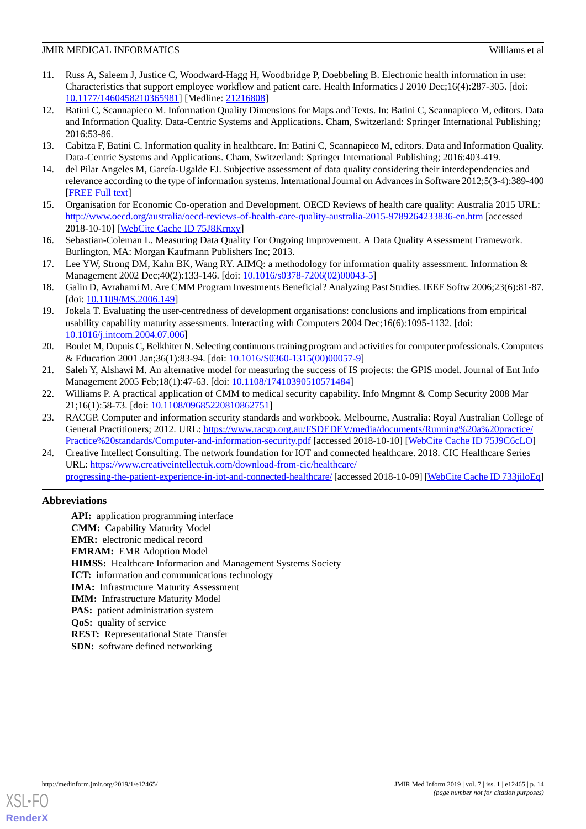- <span id="page-13-0"></span>11. Russ A, Saleem J, Justice C, Woodward-Hagg H, Woodbridge P, Doebbeling B. Electronic health information in use: Characteristics that support employee workflow and patient care. Health Informatics J 2010 Dec;16(4):287-305. [doi: [10.1177/1460458210365981\]](http://dx.doi.org/10.1177/1460458210365981) [Medline: [21216808\]](http://www.ncbi.nlm.nih.gov/entrez/query.fcgi?cmd=Retrieve&db=PubMed&list_uids=21216808&dopt=Abstract)
- <span id="page-13-1"></span>12. Batini C, Scannapieco M. Information Quality Dimensions for Maps and Texts. In: Batini C, Scannapieco M, editors. Data and Information Quality. Data-Centric Systems and Applications. Cham, Switzerland: Springer International Publishing; 2016:53-86.
- <span id="page-13-3"></span>13. Cabitza F, Batini C. Information quality in healthcare. In: Batini C, Scannapieco M, editors. Data and Information Quality. Data-Centric Systems and Applications. Cham, Switzerland: Springer International Publishing; 2016:403-419.
- 14. del Pilar Angeles M, García-Ugalde FJ. Subjective assessment of data quality considering their interdependencies and relevance according to the type of information systems. International Journal on Advances in Software 2012;5(3-4):389-400 [[FREE Full text](http://www.iariajournals.org/software/soft_v5_n34_2012_paged.pdf)]
- <span id="page-13-2"></span>15. Organisation for Economic Co-operation and Development. OECD Reviews of health care quality: Australia 2015 URL: <http://www.oecd.org/australia/oecd-reviews-of-health-care-quality-australia-2015-9789264233836-en.htm> [accessed 2018-10-10] [\[WebCite Cache ID 75J8Krnxy\]](http://www.webcitation.org/

                                75J8Krnxy)
- <span id="page-13-4"></span>16. Sebastian-Coleman L. Measuring Data Quality For Ongoing Improvement. A Data Quality Assessment Framework. Burlington, MA: Morgan Kaufmann Publishers Inc; 2013.
- <span id="page-13-5"></span>17. Lee YW, Strong DM, Kahn BK, Wang RY. AIMQ: a methodology for information quality assessment. Information & Management 2002 Dec;40(2):133-146. [doi: [10.1016/s0378-7206\(02\)00043-5](http://dx.doi.org/10.1016/s0378-7206(02)00043-5)]
- <span id="page-13-6"></span>18. Galin D, Avrahami M. Are CMM Program Investments Beneficial? Analyzing Past Studies. IEEE Softw 2006;23(6):81-87. [doi: [10.1109/MS.2006.149\]](http://dx.doi.org/10.1109/MS.2006.149)
- <span id="page-13-7"></span>19. Jokela T. Evaluating the user-centredness of development organisations: conclusions and implications from empirical usability capability maturity assessments. Interacting with Computers 2004 Dec;16(6):1095-1132. [doi: [10.1016/j.intcom.2004.07.006](http://dx.doi.org/10.1016/j.intcom.2004.07.006)]
- <span id="page-13-9"></span><span id="page-13-8"></span>20. Boulet M, Dupuis C, Belkhiter N. Selecting continuous training program and activities for computer professionals. Computers & Education 2001 Jan;36(1):83-94. [doi: [10.1016/S0360-1315\(00\)00057-9\]](http://dx.doi.org/10.1016/S0360-1315(00)00057-9)
- <span id="page-13-10"></span>21. Saleh Y, Alshawi M. An alternative model for measuring the success of IS projects: the GPIS model. Journal of Ent Info Management 2005 Feb;18(1):47-63. [doi: [10.1108/17410390510571484\]](http://dx.doi.org/10.1108/17410390510571484)
- 22. Williams P. A practical application of CMM to medical security capability. Info Mngmnt & Comp Security 2008 Mar 21;16(1):58-73. [doi: [10.1108/09685220810862751\]](http://dx.doi.org/10.1108/09685220810862751)
- <span id="page-13-11"></span>23. RACGP. Computer and information security standards and workbook. Melbourne, Australia: Royal Australian College of General Practitioners; 2012. URL: [https://www.racgp.org.au/FSDEDEV/media/documents/Running%20a%20practice/](https://www.racgp.org.au/FSDEDEV/media/documents/Running%20a%20practice/Practice%20standards/Computer-and-information-security.pdf) [Practice%20standards/Computer-and-information-security.pdf](https://www.racgp.org.au/FSDEDEV/media/documents/Running%20a%20practice/Practice%20standards/Computer-and-information-security.pdf) [accessed 2018-10-10] [\[WebCite Cache ID 75J9C6cLO](http://www.webcitation.org/

                                75J9C6cLO)]
- 24. Creative Intellect Consulting. The network foundation for IOT and connected healthcare. 2018. CIC Healthcare Series URL: [https://www.creativeintellectuk.com/download-from-cic/healthcare/](https://www.creativeintellectuk.com/download-from-cic/healthcare/progressing-the-patient-experience-in-iot-and-connected-healthcare/) [progressing-the-patient-experience-in-iot-and-connected-healthcare/](https://www.creativeintellectuk.com/download-from-cic/healthcare/progressing-the-patient-experience-in-iot-and-connected-healthcare/) [accessed 2018-10-09] [\[WebCite Cache ID 733jiloEq\]](http://www.webcitation.org/

                                733jiloEq)

## **Abbreviations**

**API:** application programming interface **CMM:** Capability Maturity Model **EMR:** electronic medical record **EMRAM:** EMR Adoption Model **HIMSS:** Healthcare Information and Management Systems Society **ICT:** information and communications technology **IMA:** Infrastructure Maturity Assessment **IMM:** Infrastructure Maturity Model PAS: patient administration system **QoS:** quality of service **REST:** Representational State Transfer **SDN:** software defined networking